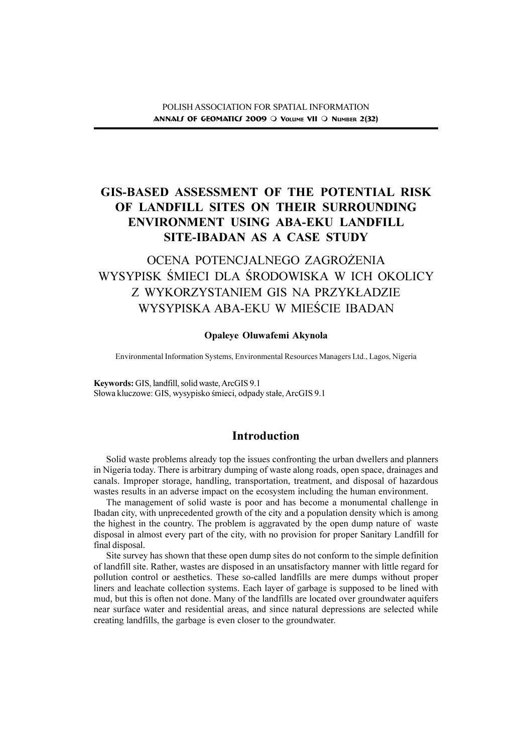# GIS-BASED ASSESSMENT OF THE POTENTIAL RISK OF LANDFILL SITES ON THEIR SURROUNDING ENVIRONMENT USING ABA-EKU LANDFILL SITE-IBADAN AS A CASE STUDY

# OCENA POTENCJALNEGO ZAGROŻENIA WYSYPISK ŚMIECI DLA ŚRODOWISKA W ICH OKOLICY Z WYKORZYSTANIEM GIS NA PRZYK£ADZIE WYSYPISKA ABA-EKU W MIEŚCIE IBADAN

#### Opaleye Oluwafemi Akynola

Environmental Information Systems, Environmental Resources Managers Ltd., Lagos, Nigeria

Keywords: GIS, landfill, solid waste, ArcGIS 9.1 Słowa kluczowe: GIS, wysypisko śmieci, odpady stałe, ArcGIS 9.1

# Introduction

Solid waste problems already top the issues confronting the urban dwellers and planners in Nigeria today. There is arbitrary dumping of waste along roads, open space, drainages and canals. Improper storage, handling, transportation, treatment, and disposal of hazardous wastes results in an adverse impact on the ecosystem including the human environment.

The management of solid waste is poor and has become a monumental challenge in Ibadan city, with unprecedented growth of the city and a population density which is among the highest in the country. The problem is aggravated by the open dump nature of waste disposal in almost every part of the city, with no provision for proper Sanitary Landfill for final disposal.

Site survey has shown that these open dump sites do not conform to the simple definition of landfill site. Rather, wastes are disposed in an unsatisfactory manner with little regard for pollution control or aesthetics. These so-called landfills are mere dumps without proper liners and leachate collection systems. Each layer of garbage is supposed to be lined with mud, but this is often not done. Many of the landfills are located over groundwater aquifers near surface water and residential areas, and since natural depressions are selected while creating landfills, the garbage is even closer to the groundwater.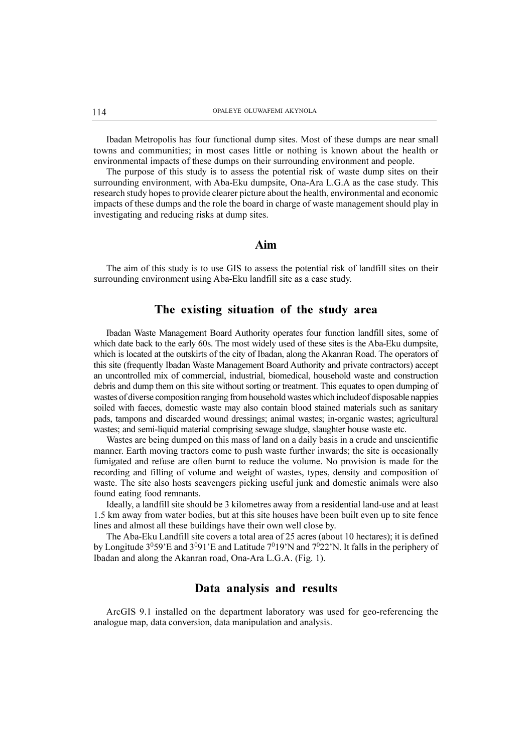Ibadan Metropolis has four functional dump sites. Most of these dumps are near small towns and communities; in most cases little or nothing is known about the health or environmental impacts of these dumps on their surrounding environment and people.

The purpose of this study is to assess the potential risk of waste dump sites on their surrounding environment, with Aba-Eku dumpsite, Ona-Ara L.G.A as the case study. This research study hopes to provide clearer picture about the health, environmental and economic impacts of these dumps and the role the board in charge of waste management should play in investigating and reducing risks at dump sites.

# Aim

The aim of this study is to use GIS to assess the potential risk of landfill sites on their surrounding environment using Aba-Eku landfill site as a case study.

# The existing situation of the study area

Ibadan Waste Management Board Authority operates four function landfill sites, some of which date back to the early 60s. The most widely used of these sites is the Aba-Eku dumpsite, which is located at the outskirts of the city of Ibadan, along the Akanran Road. The operators of this site (frequently Ibadan Waste Management Board Authority and private contractors) accept an uncontrolled mix of commercial, industrial, biomedical, household waste and construction debris and dump them on this site without sorting or treatment. This equates to open dumping of wastes of diverse composition ranging from household wastes which includeof disposable nappies soiled with faeces, domestic waste may also contain blood stained materials such as sanitary pads, tampons and discarded wound dressings; animal wastes; in-organic wastes; agricultural wastes; and semi-liquid material comprising sewage sludge, slaughter house waste etc.

Wastes are being dumped on this mass of land on a daily basis in a crude and unscientific manner. Earth moving tractors come to push waste further inwards; the site is occasionally fumigated and refuse are often burnt to reduce the volume. No provision is made for the recording and filling of volume and weight of wastes, types, density and composition of waste. The site also hosts scavengers picking useful junk and domestic animals were also found eating food remnants.

Ideally, a landfill site should be 3 kilometres away from a residential land-use and at least 1.5 km away from water bodies, but at this site houses have been built even up to site fence lines and almost all these buildings have their own well close by.

The Aba-Eku Landfill site covers a total area of 25 acres (about 10 hectares); it is defined by Longitude  $3^{0}59$  E and  $3^{0}91$  E and Latitude  $7^{0}19$  N and  $7^{0}22$  N. It falls in the periphery of Ibadan and along the Akanran road, Ona-Ara L.G.A. (Fig. 1).

## Data analysis and results

ArcGIS 9.1 installed on the department laboratory was used for geo-referencing the analogue map, data conversion, data manipulation and analysis.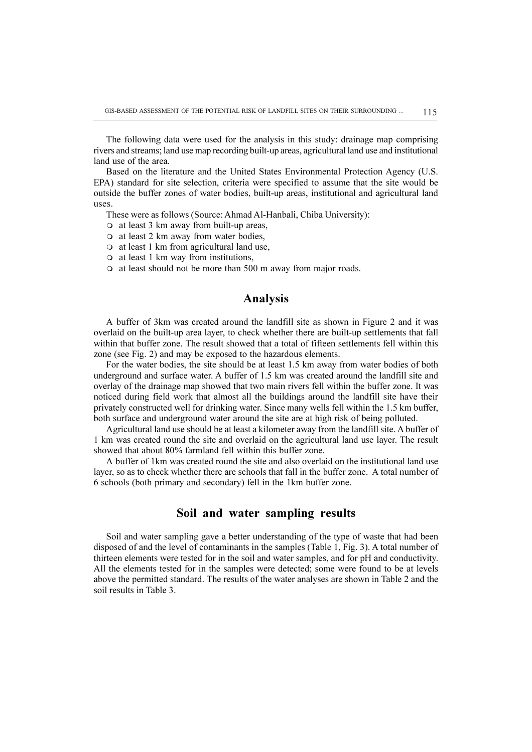The following data were used for the analysis in this study: drainage map comprising rivers and streams; land use map recording built-up areas, agricultural land use and institutional land use of the area.

Based on the literature and the United States Environmental Protection Agency (U.S. EPA) standard for site selection, criteria were specified to assume that the site would be outside the buffer zones of water bodies, built-up areas, institutional and agricultural land uses.

These were as follows (Source: Ahmad Al-Hanbali, Chiba University):

- $\circ$  at least 3 km away from built-up areas,
- $\circ$  at least 2 km away from water bodies,
- $\circ$  at least 1 km from agricultural land use,
- $\circ$  at least 1 km way from institutions,
- $\circ$  at least should not be more than 500 m away from major roads.

# Analysis

A buffer of 3km was created around the landfill site as shown in Figure 2 and it was overlaid on the built-up area layer, to check whether there are built-up settlements that fall within that buffer zone. The result showed that a total of fifteen settlements fell within this zone (see Fig. 2) and may be exposed to the hazardous elements.

For the water bodies, the site should be at least 1.5 km away from water bodies of both underground and surface water. A buffer of 1.5 km was created around the landfill site and overlay of the drainage map showed that two main rivers fell within the buffer zone. It was noticed during field work that almost all the buildings around the landfill site have their privately constructed well for drinking water. Since many wells fell within the 1.5 km buffer, both surface and underground water around the site are at high risk of being polluted.

Agricultural land use should be at least a kilometer away from the landfill site. A buffer of 1 km was created round the site and overlaid on the agricultural land use layer. The result showed that about 80% farmland fell within this buffer zone.

A buffer of 1km was created round the site and also overlaid on the institutional land use layer, so as to check whether there are schools that fall in the buffer zone. A total number of 6 schools (both primary and secondary) fell in the 1km buffer zone.

### Soil and water sampling results

Soil and water sampling gave a better understanding of the type of waste that had been disposed of and the level of contaminants in the samples (Table 1, Fig. 3). A total number of thirteen elements were tested for in the soil and water samples, and for pH and conductivity. All the elements tested for in the samples were detected; some were found to be at levels above the permitted standard. The results of the water analyses are shown in Table 2 and the soil results in Table 3.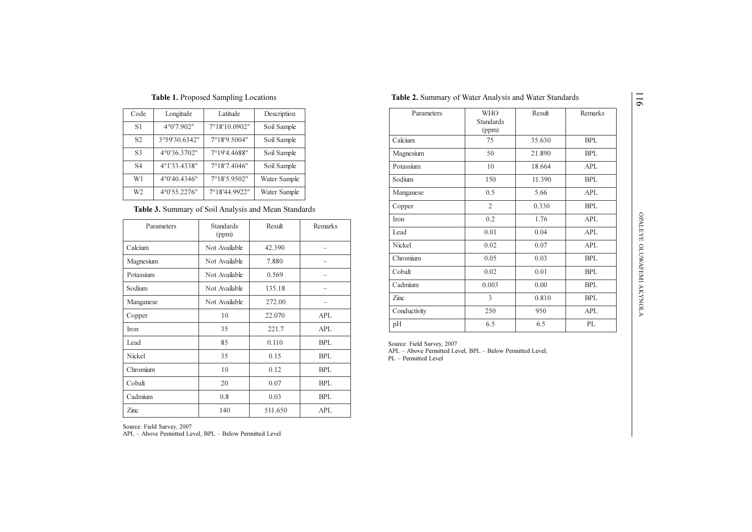| Code           | Longitude     | Latitude      | Description  |
|----------------|---------------|---------------|--------------|
| <b>S1</b>      | 4°0'7.902"    | 7°18'10.0902" | Soil Sample  |
| S2             | 3°59'30.6342" | 7°18'9.5004"  | Soil Sample  |
| S3             | 4°0'36.3702"  | 7°19'4.4688"  | Soil Sample  |
| S4             | 4°1'33.4338"  | 7°18'7.4046"  | Soil Sample  |
| W1             | 4°0'40.4346"  | 7°18'5.9502"  | Water Sample |
| W <sub>2</sub> | 4°0'55.2276"  | 7°18'44.9922" | Water Sample |

#### Table 1. Proposed Sampling Locations

#### Table 3. Summary of Soil Analysis and Mean Standards

| Parameters | <b>Standards</b><br>(ppm) | Result  | Remarks    |
|------------|---------------------------|---------|------------|
| Calcium    | Not Available             | 42.390  |            |
| Magnesium  | Not Available             | 7.880   |            |
| Potassium  | Not Available             | 0.569   |            |
| Sodium     | Not Available             | 135.18  |            |
| Manganese  | Not Available             | 272.00  |            |
| Copper     | 10                        | 22.070  | <b>APL</b> |
| Iron       | 35                        | 221.7   | APL        |
| Lead       | 85                        | 0.110   | <b>BPL</b> |
| Nickel     | 35                        | 0.15    | <b>BPL</b> |
| Chromium   | 10                        | 0.12    | <b>BPL</b> |
| Cobalt     | 20                        | 0.07    | <b>BPL</b> |
| Cadmium    | 0.8                       | 0.03    | <b>BPL</b> |
| Zinc       | 140                       | 511.650 | APL        |

| Parameters    | <b>WHO</b><br><b>Standards</b><br>(ppm) | Result | Remarks    |
|---------------|-----------------------------------------|--------|------------|
| Calcium       | 75                                      | 35.630 | <b>BPL</b> |
| Magnesium     | 50                                      | 21.890 | <b>BPL</b> |
| Potassium     | 10                                      | 18.664 | <b>APL</b> |
| Sodium        | 150                                     | 11.390 | <b>BPL</b> |
| Manganese     | 0.5                                     | 5.66   | <b>APL</b> |
| Copper        | $\overline{2}$                          | 0.330  | <b>BPL</b> |
| Iron          | 0.2                                     | 1.76   | <b>APL</b> |
| Lead          | 0.01                                    | 0.04   | <b>APL</b> |
| <b>Nickel</b> | 0.02                                    | 0.07   | <b>APL</b> |
| Chromium      | 0.05                                    | 0.03   | <b>BPL</b> |
| Cobalt        | 0.02                                    | 0.01   | <b>BPL</b> |
| Cadmium       | 0.003                                   | 0.00   | <b>BPL</b> |
| Zinc          | 3                                       | 0.810  | <b>BPL</b> |
| Conductivity  | 250                                     | 950    | APL        |
| pH            | 6.5                                     | 6.5    | PL         |

Table 2. Summary of Water Analysis and Water Standards

Source: Field Survey, 2007<br>APL - Above Permitted Level, BPL - Below Permitted Level, PL - Permitted Level

911

Source: Field Survey, 2007

APL - Above Permitted Level, BPL - Below Permitted Level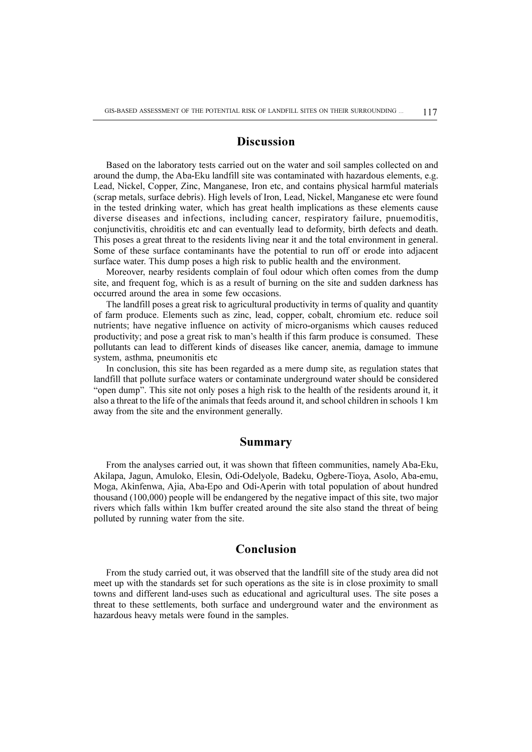# **Discussion**

Based on the laboratory tests carried out on the water and soil samples collected on and around the dump, the Aba-Eku landfill site was contaminated with hazardous elements, e.g. Lead, Nickel, Copper, Zinc, Manganese, Iron etc, and contains physical harmful materials (scrap metals, surface debris). High levels of Iron, Lead, Nickel, Manganese etc were found in the tested drinking water, which has great health implications as these elements cause diverse diseases and infections, including cancer, respiratory failure, pnuemoditis, conjunctivitis, chroiditis etc and can eventually lead to deformity, birth defects and death. This poses a great threat to the residents living near it and the total environment in general. Some of these surface contaminants have the potential to run off or erode into adjacent surface water. This dump poses a high risk to public health and the environment.

Moreover, nearby residents complain of foul odour which often comes from the dump site, and frequent fog, which is as a result of burning on the site and sudden darkness has occurred around the area in some few occasions.

The landfill poses a great risk to agricultural productivity in terms of quality and quantity of farm produce. Elements such as zinc, lead, copper, cobalt, chromium etc. reduce soil nutrients; have negative influence on activity of micro-organisms which causes reduced productivity; and pose a great risk to man's health if this farm produce is consumed. These pollutants can lead to different kinds of diseases like cancer, anemia, damage to immune system, asthma, pneumonitis etc

In conclusion, this site has been regarded as a mere dump site, as regulation states that landfill that pollute surface waters or contaminate underground water should be considered "open dump". This site not only poses a high risk to the health of the residents around it, it also a threat to the life of the animals that feeds around it, and school children in schools 1 km away from the site and the environment generally.

### Summary

From the analyses carried out, it was shown that fifteen communities, namely Aba-Eku, Akilapa, Jagun, Amuloko, Elesin, Odi-Odelyole, Badeku, Ogbere-Tioya, Asolo, Aba-emu, Moga, Akinfenwa, Ajia, Aba-Epo and Odi-Aperin with total population of about hundred thousand (100,000) people will be endangered by the negative impact of this site, two major rivers which falls within 1km buffer created around the site also stand the threat of being polluted by running water from the site.

# Conclusion

From the study carried out, it was observed that the landfill site of the study area did not meet up with the standards set for such operations as the site is in close proximity to small towns and different land-uses such as educational and agricultural uses. The site poses a threat to these settlements, both surface and underground water and the environment as hazardous heavy metals were found in the samples.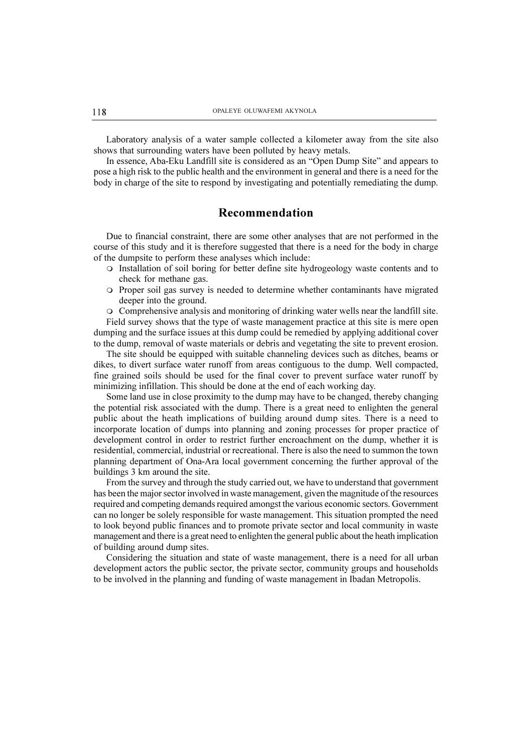Laboratory analysis of a water sample collected a kilometer away from the site also shows that surrounding waters have been polluted by heavy metals.

In essence, Aba-Eku Landfill site is considered as an "Open Dump Site" and appears to pose a high risk to the public health and the environment in general and there is a need for the body in charge of the site to respond by investigating and potentially remediating the dump.

# Recommendation

Due to financial constraint, there are some other analyses that are not performed in the course of this study and it is therefore suggested that there is a need for the body in charge of the dumpsite to perform these analyses which include:

- m Installation of soil boring for better define site hydrogeology waste contents and to check for methane gas.
- m Proper soil gas survey is needed to determine whether contaminants have migrated deeper into the ground.

 $\circ$  Comprehensive analysis and monitoring of drinking water wells near the landfill site.

Field survey shows that the type of waste management practice at this site is mere open dumping and the surface issues at this dump could be remedied by applying additional cover to the dump, removal of waste materials or debris and vegetating the site to prevent erosion.

The site should be equipped with suitable channeling devices such as ditches, beams or dikes, to divert surface water runoff from areas contiguous to the dump. Well compacted, fine grained soils should be used for the final cover to prevent surface water runoff by minimizing infillation. This should be done at the end of each working day.

Some land use in close proximity to the dump may have to be changed, thereby changing the potential risk associated with the dump. There is a great need to enlighten the general public about the heath implications of building around dump sites. There is a need to incorporate location of dumps into planning and zoning processes for proper practice of development control in order to restrict further encroachment on the dump, whether it is residential, commercial, industrial or recreational. There is also the need to summon the town planning department of Ona-Ara local government concerning the further approval of the buildings 3 km around the site.

From the survey and through the study carried out, we have to understand that government has been the major sector involved in waste management, given the magnitude of the resources required and competing demands required amongst the various economic sectors. Government can no longer be solely responsible for waste management. This situation prompted the need to look beyond public finances and to promote private sector and local community in waste management and there is a great need to enlighten the general public about the heath implication of building around dump sites.

Considering the situation and state of waste management, there is a need for all urban development actors the public sector, the private sector, community groups and households to be involved in the planning and funding of waste management in Ibadan Metropolis.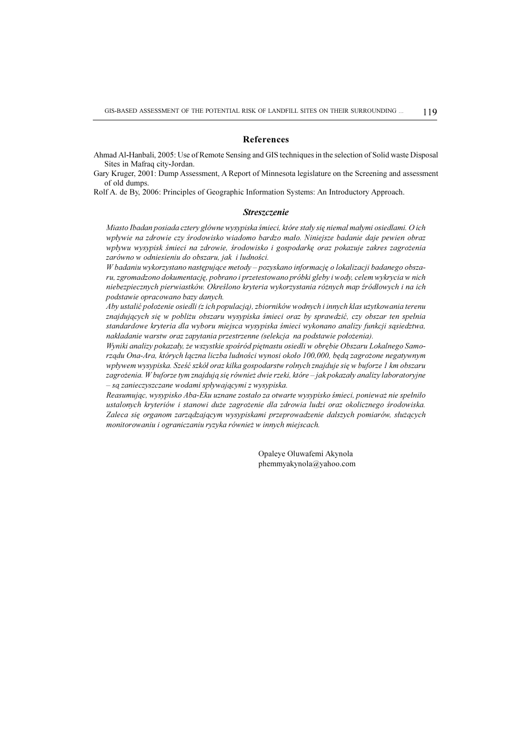#### References

Ahmad Al-Hanbali, 2005: Use of Remote Sensing and GIS techniques in the selection of Solid waste Disposal Sites in Mafraq city-Jordan.

Gary Kruger, 2001: Dump Assessment, A Report of Minnesota legislature on the Screening and assessment of old dumps.

Rolf A. de By, 2006: Principles of Geographic Information Systems: An Introductory Approach.

#### Streszczenie

Miasto Ibadan posiada cztery główne wysypiska śmieci, które stały się niemal małymi osiedlami. O ich wpływie na zdrowie czy środowisko wiadomo bardzo mało. Niniejsze badanie daje pewien obraz wpływu wysypisk śmieci na zdrowie, środowisko i gospodarkę oraz pokazuje zakres zagrożenia zarówno w odniesieniu do obszaru, jak i ludności.

W badaniu wykorzystano następujące metody – pozyskano informację o lokalizacji badanego obszaru, zgromadzono dokumentacjê, pobrano i przetestowano próbki gleby i wody, celem wykrycia w nich niebezpiecznych pierwiastków. Określono kryteria wykorzystania różnych map źródłowych i na ich podstawie opracowano bazy danych.

Aby ustalić położenie osiedli (z ich populacją), zbiorników wodnych i innych klas użytkowania terenu znajdujących się w pobliżu obszaru wysypiska śmieci oraz by sprawdzić, czy obszar ten spełnia standardowe kryteria dla wyboru miejsca wysypiska śmieci wykonano analizy funkcji sasiedztwa, nakładanie warstw oraz zapytania przestrzenne (selekcja na podstawie położenia).

Wyniki analizy pokazały, że wszystkie spośród piętnastu osiedli w obrębie Obszaru Lokalnego Samorządu Ona-Ara, których łączna liczba ludności wynosi około 100,000, będą zagrożone negatywnym wpływem wysypiska. Sześć szkół oraz kilka gospodarstw rolnych znajduje się w buforze 1 km obszaru zagrożenia. W buforze tym znajdują się również dwie rzeki, które - jak pokazały analizy laboratoryjne - są zanieczyszczane wodami spływającymi z wysypiska.

Reasumując, wysypisko Aba-Eku uznane zostało za otwarte wysypisko śmieci, ponieważ nie spełniło ustalonych kryteriów i stanowi duże zagrożenie dla zdrowia ludzi oraz okolicznego środowiska. Zaleca się organom zarządzającym wysypiskami przeprowadzenie dalszych pomiarów, służących monitorowaniu i ograniczaniu ryzyka również w innych miejscach.

> Opaleye Oluwafemi Akynola phemmyakynola@yahoo.com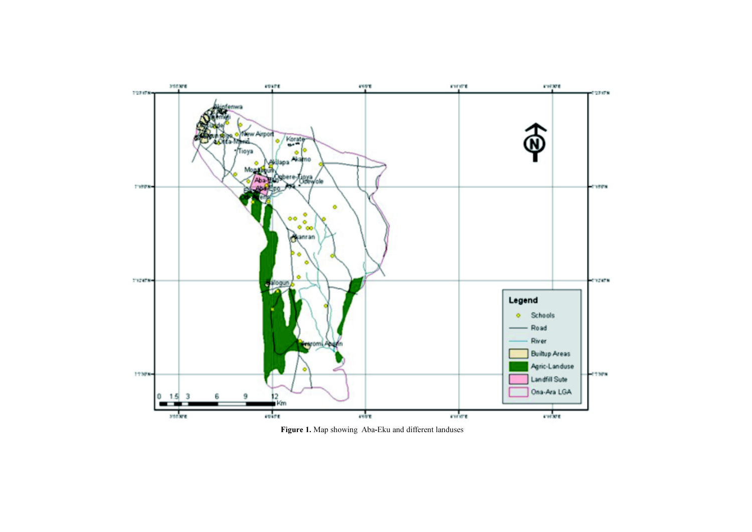

Figure 1. Map showing Aba-Eku and different landuses